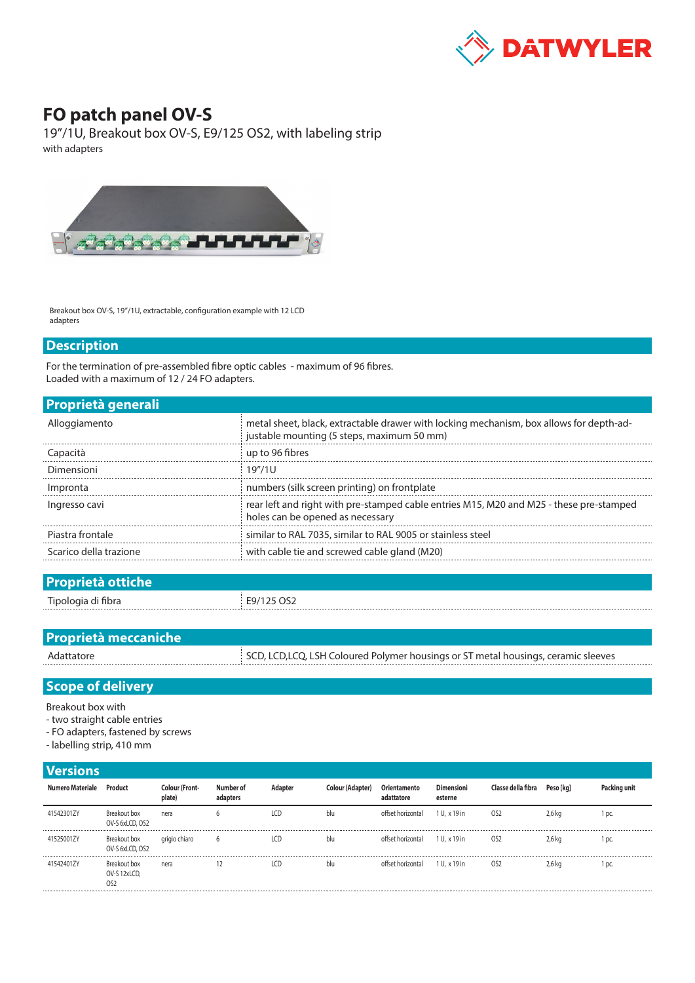

## **FO patch panel OV-S**

19"/1U, Breakout box OV-S, E9/125 OS2, with labeling strip with adapters



Breakout box OV-S, 19"/1U, extractable, configuration example with 12 LCD adapters

## **Description**

For the termination of pre-assembled fibre optic cables - maximum of 96 fibres. Loaded with a maximum of 12 / 24 FO adapters.

| <b>Proprietà generali</b> |                                                                                                                                       |
|---------------------------|---------------------------------------------------------------------------------------------------------------------------------------|
| Alloggiamento             | metal sheet, black, extractable drawer with locking mechanism, box allows for depth-ad-<br>justable mounting (5 steps, maximum 50 mm) |
| Capacità                  | up to 96 fibres                                                                                                                       |
| Dimensioni                | 19"/1U                                                                                                                                |
| Impronta                  | numbers (silk screen printing) on frontplate                                                                                          |
| Ingresso cavi             | rear left and right with pre-stamped cable entries M15, M20 and M25 - these pre-stamped<br>holes can be opened as necessary           |
| Piastra frontale          | similar to RAL 7035, similar to RAL 9005 or stainless steel                                                                           |
| Scarico della trazione    | with cable tie and screwed cable gland (M20)                                                                                          |
|                           |                                                                                                                                       |

| <b>Proprietà ottiche</b> |            |
|--------------------------|------------|
| Tipologia di fibra       | E9/125 OS2 |
|                          |            |

| <b>Proprietà meccaniche</b> |                                                                                    |
|-----------------------------|------------------------------------------------------------------------------------|
| Adattatore                  | SCD, LCD, LCQ, LSH Coloured Polymer housings or ST metal housings, ceramic sleeves |
|                             |                                                                                    |

## **Scope of delivery**

Breakout box with

- two straight cable entries
- FO adapters, fastened by screws

- labelling strip, 410 mm

## **Versions**

| <b>VEISIVIIS</b> |                                                  |                                 |                       |         |                  |                            |                              |                    |           |              |
|------------------|--------------------------------------------------|---------------------------------|-----------------------|---------|------------------|----------------------------|------------------------------|--------------------|-----------|--------------|
| Numero Materiale | Product                                          | <b>Colour (Front-</b><br>plate) | Number of<br>adapters | Adapter | Colour (Adapter) | Orientamento<br>adattatore | <b>Dimensioni</b><br>esterne | Classe della fibra | Peso [kg] | Packing unit |
| 41542301ZY       | Breakout box<br>OV-S 6xLCD, OS2                  | nera                            | b                     | LCD     | blu              | offset horizontal          | 1 U, x 19 in                 | OS <sub>2</sub>    | 2,6 kg    | 1 pc.        |
| 41525001ZY       | Breakout box<br>OV-S 6xLCD, OS2                  | grigio chiaro                   | 6                     | LCD     | blu              | offset horizontal          | 1 U, x 19 in                 | OS <sub>2</sub>    | 2,6 kg    | 1 pc.        |
| 41542401ZY       | Breakout box<br>OV-S 12xLCD,<br>O <sub>S</sub> 2 | nera                            |                       | LCD     | blu              | offset horizontal          | 1 U, x 19 in                 | OS <sub>2</sub>    | 2,6 kg    | 1 pc.        |